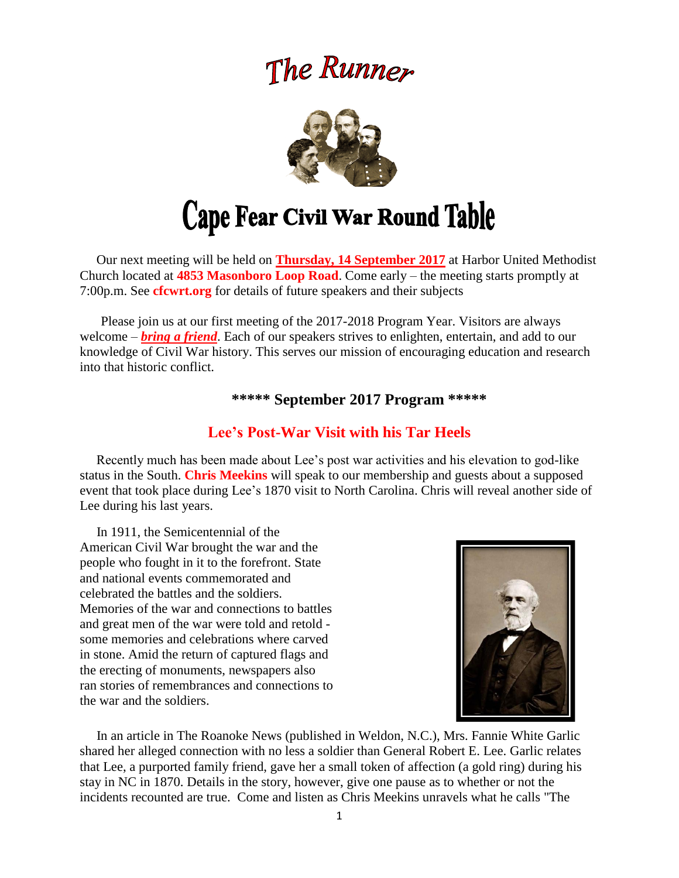# The Runner



# **Cape Fear Civil War Round Table**

 Our next meeting will be held on **Thursday, 14 September 2017** at Harbor United Methodist Church located at **4853 Masonboro Loop Road**. Come early – the meeting starts promptly at 7:00p.m. See **cfcwrt.org** for details of future speakers and their subjects

 Please join us at our first meeting of the 2017-2018 Program Year. Visitors are always welcome – *bring a friend*. Each of our speakers strives to enlighten, entertain, and add to our knowledge of Civil War history. This serves our mission of encouraging education and research into that historic conflict.

#### **\*\*\*\*\* September 2017 Program \*\*\*\*\***

# **Lee's Post-War Visit with his Tar Heels**

Recently much has been made about Lee's post war activities and his elevation to god-like status in the South. **Chris Meekins** will speak to our membership and guests about a supposed event that took place during Lee's 1870 visit to North Carolina. Chris will reveal another side of Lee during his last years.

 In 1911, the Semicentennial of the American Civil War brought the war and the people who fought in it to the forefront. State and national events commemorated and celebrated the battles and the soldiers. Memories of the war and connections to battles and great men of the war were told and retold some memories and celebrations where carved in stone. Amid the return of captured flags and the erecting of monuments, newspapers also ran stories of remembrances and connections to the war and the soldiers.



 In an article in The Roanoke News (published in Weldon, N.C.), Mrs. Fannie White Garlic shared her alleged connection with no less a soldier than General Robert E. Lee. Garlic relates that Lee, a purported family friend, gave her a small token of affection (a gold ring) during his stay in NC in 1870. Details in the story, however, give one pause as to whether or not the incidents recounted are true. Come and listen as Chris Meekins unravels what he calls "The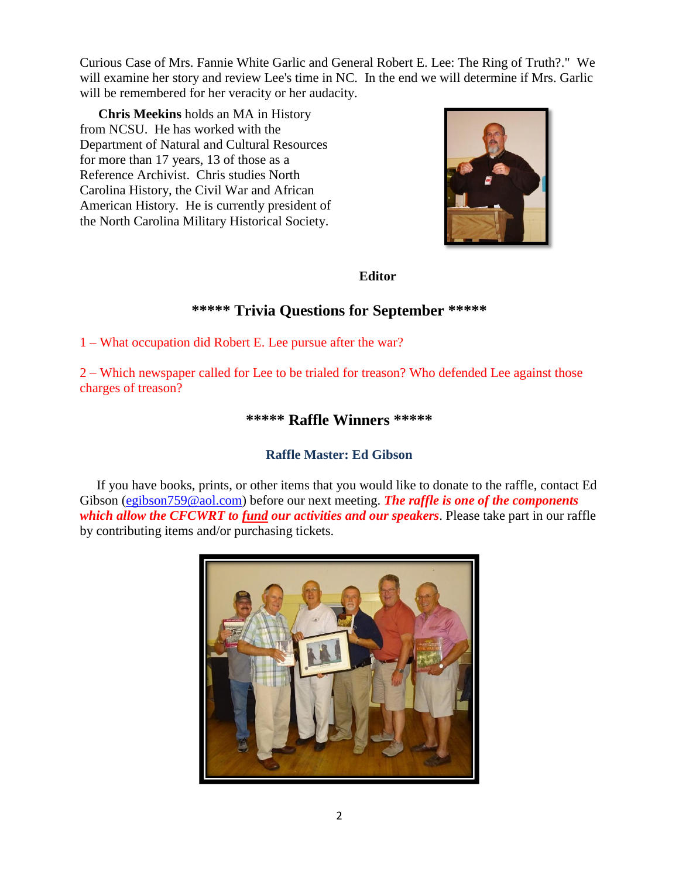Curious Case of Mrs. Fannie White Garlic and General Robert E. Lee: The Ring of Truth?." We will examine her story and review Lee's time in NC. In the end we will determine if Mrs. Garlic will be remembered for her veracity or her audacity.

 **Chris Meekins** holds an MA in History from NCSU. He has worked with the Department of Natural and Cultural Resources for more than 17 years, 13 of those as a Reference Archivist. Chris studies North Carolina History, the Civil War and African American History. He is currently president of the North Carolina Military Historical Society.



#### **Editor**

# **\*\*\*\*\* Trivia Questions for September \*\*\*\*\***

1 – What occupation did Robert E. Lee pursue after the war?

2 – Which newspaper called for Lee to be trialed for treason? Who defended Lee against those charges of treason?

### **\*\*\*\*\* Raffle Winners \*\*\*\*\***

## **Raffle Master: Ed Gibson**

If you have books, prints, or other items that you would like to donate to the raffle, contact Ed Gibson [\(egibson759@aol.com\)](mailto:egibson759@aol.com) before our next meeting. *The raffle is one of the components which allow the CFCWRT to fund our activities and our speakers*. Please take part in our raffle by contributing items and/or purchasing tickets.

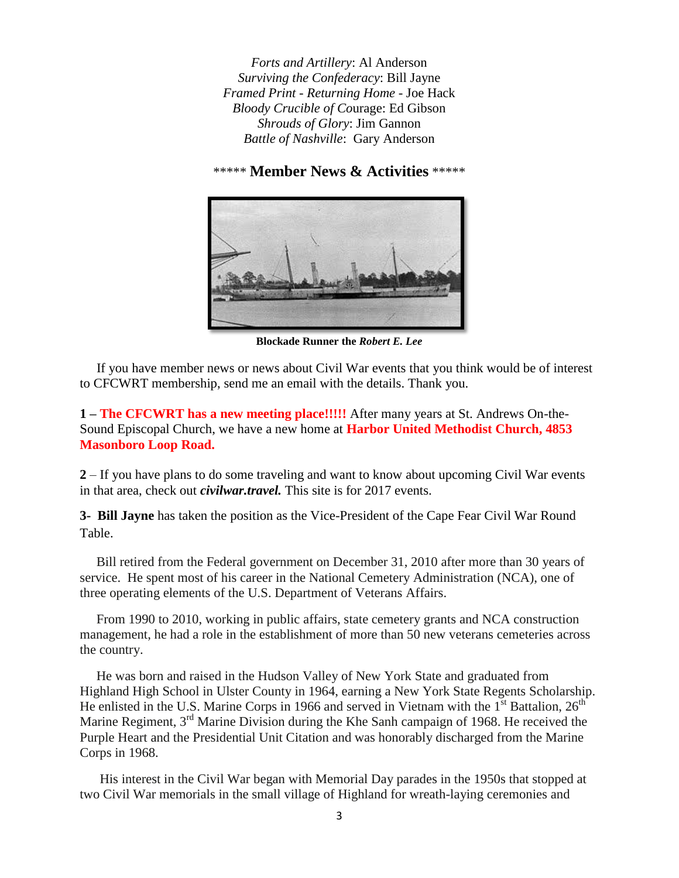*Forts and Artillery*: Al Anderson *Surviving the Confederacy*: Bill Jayne *Framed Print - Returning Home* - Joe Hack *Bloody Crucible of Co*urage: Ed Gibson *Shrouds of Glory*: Jim Gannon *Battle of Nashville*: Gary Anderson

\*\*\*\*\* **Member News & Activities** \*\*\*\*\*



**Blockade Runner the** *Robert E. Lee*

 If you have member news or news about Civil War events that you think would be of interest to CFCWRT membership, send me an email with the details. Thank you.

**1 – The CFCWRT has a new meeting place!!!!!** After many years at St. Andrews On-the-Sound Episcopal Church, we have a new home at **Harbor United Methodist Church, 4853 Masonboro Loop Road.** 

**2** – If you have plans to do some traveling and want to know about upcoming Civil War events in that area, check out *civilwar.travel.* This site is for 2017 events.

**3- Bill Jayne** has taken the position as the Vice-President of the Cape Fear Civil War Round Table.

 Bill retired from the Federal government on December 31, 2010 after more than 30 years of service. He spent most of his career in the National Cemetery Administration (NCA), one of three operating elements of the U.S. Department of Veterans Affairs.

 From 1990 to 2010, working in public affairs, state cemetery grants and NCA construction management, he had a role in the establishment of more than 50 new veterans cemeteries across the country.

He was born and raised in the Hudson Valley of New York State and graduated from Highland High School in Ulster County in 1964, earning a New York State Regents Scholarship. He enlisted in the U.S. Marine Corps in 1966 and served in Vietnam with the  $1<sup>st</sup>$  Battalion,  $26<sup>th</sup>$ Marine Regiment, 3<sup>rd</sup> Marine Division during the Khe Sanh campaign of 1968. He received the Purple Heart and the Presidential Unit Citation and was honorably discharged from the Marine Corps in 1968.

His interest in the Civil War began with Memorial Day parades in the 1950s that stopped at two Civil War memorials in the small village of Highland for wreath-laying ceremonies and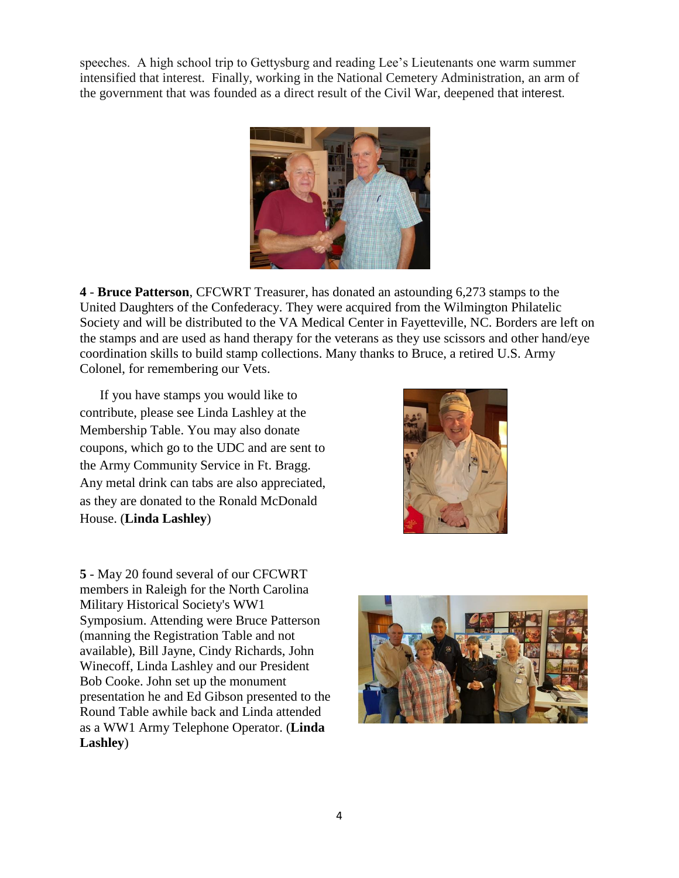speeches. A high school trip to Gettysburg and reading Lee's Lieutenants one warm summer intensified that interest. Finally, working in the National Cemetery Administration, an arm of the government that was founded as a direct result of the Civil War, deepened that interest.



**4** - **Bruce Patterson**, CFCWRT Treasurer, has donated an astounding 6,273 stamps to the United Daughters of the Confederacy. They were acquired from the Wilmington Philatelic Society and will be distributed to the VA Medical Center in Fayetteville, NC. Borders are left on the stamps and are used as hand therapy for the veterans as they use scissors and other hand/eye coordination skills to build stamp collections. Many thanks to Bruce, a retired U.S. Army Colonel, for remembering our Vets.

 If you have stamps you would like to contribute, please see Linda Lashley at the Membership Table. You may also donate coupons, which go to the UDC and are sent to the Army Community Service in Ft. Bragg. Any metal drink can tabs are also appreciated, as they are donated to the Ronald McDonald House. (**Linda Lashley**)



**5** - May 20 found several of our CFCWRT members in Raleigh for the North Carolina Military Historical Society's WW1 Symposium. Attending were Bruce Patterson (manning the Registration Table and not available), Bill Jayne, Cindy Richards, John Winecoff, Linda Lashley and our President Bob Cooke. John set up the monument presentation he and Ed Gibson presented to the Round Table awhile back and Linda attended as a WW1 Army Telephone Operator. (**Linda Lashley**)

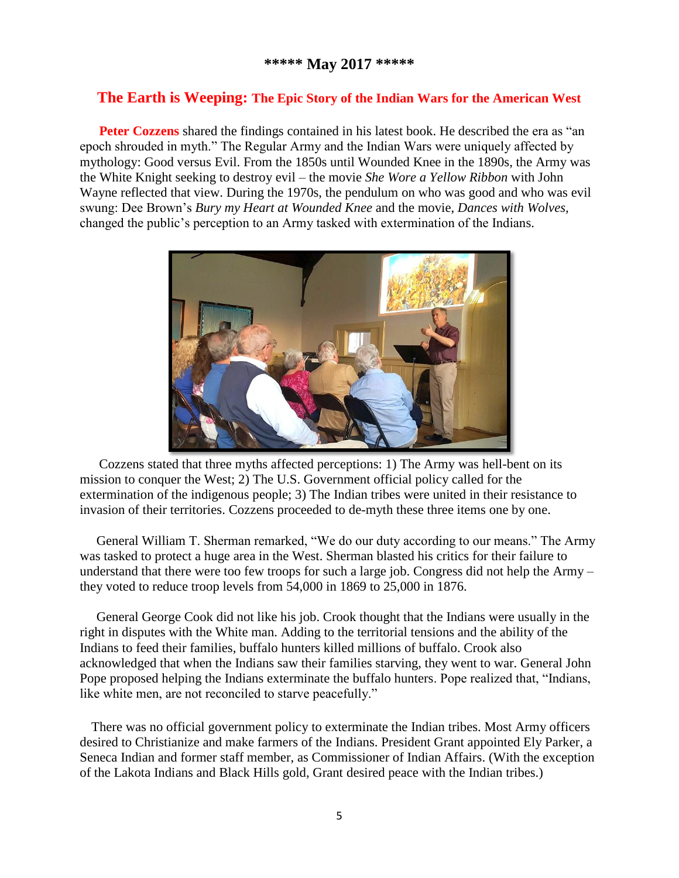### **The Earth is Weeping: The Epic Story of the Indian Wars for the American West**

**Peter Cozzens** shared the findings contained in his latest book. He described the era as "an epoch shrouded in myth." The Regular Army and the Indian Wars were uniquely affected by mythology: Good versus Evil. From the 1850s until Wounded Knee in the 1890s, the Army was the White Knight seeking to destroy evil – the movie *She Wore a Yellow Ribbon* with John Wayne reflected that view. During the 1970s, the pendulum on who was good and who was evil swung: Dee Brown's *Bury my Heart at Wounded Knee* and the movie, *Dances with Wolves,*  changed the public's perception to an Army tasked with extermination of the Indians.



Cozzens stated that three myths affected perceptions: 1) The Army was hell-bent on its mission to conquer the West; 2) The U.S. Government official policy called for the extermination of the indigenous people; 3) The Indian tribes were united in their resistance to invasion of their territories. Cozzens proceeded to de-myth these three items one by one.

 General William T. Sherman remarked, "We do our duty according to our means." The Army was tasked to protect a huge area in the West. Sherman blasted his critics for their failure to understand that there were too few troops for such a large job. Congress did not help the Army – they voted to reduce troop levels from 54,000 in 1869 to 25,000 in 1876.

 General George Cook did not like his job. Crook thought that the Indians were usually in the right in disputes with the White man. Adding to the territorial tensions and the ability of the Indians to feed their families, buffalo hunters killed millions of buffalo. Crook also acknowledged that when the Indians saw their families starving, they went to war. General John Pope proposed helping the Indians exterminate the buffalo hunters. Pope realized that, "Indians, like white men, are not reconciled to starve peacefully."

There was no official government policy to exterminate the Indian tribes. Most Army officers desired to Christianize and make farmers of the Indians. President Grant appointed Ely Parker, a Seneca Indian and former staff member, as Commissioner of Indian Affairs. (With the exception of the Lakota Indians and Black Hills gold, Grant desired peace with the Indian tribes.)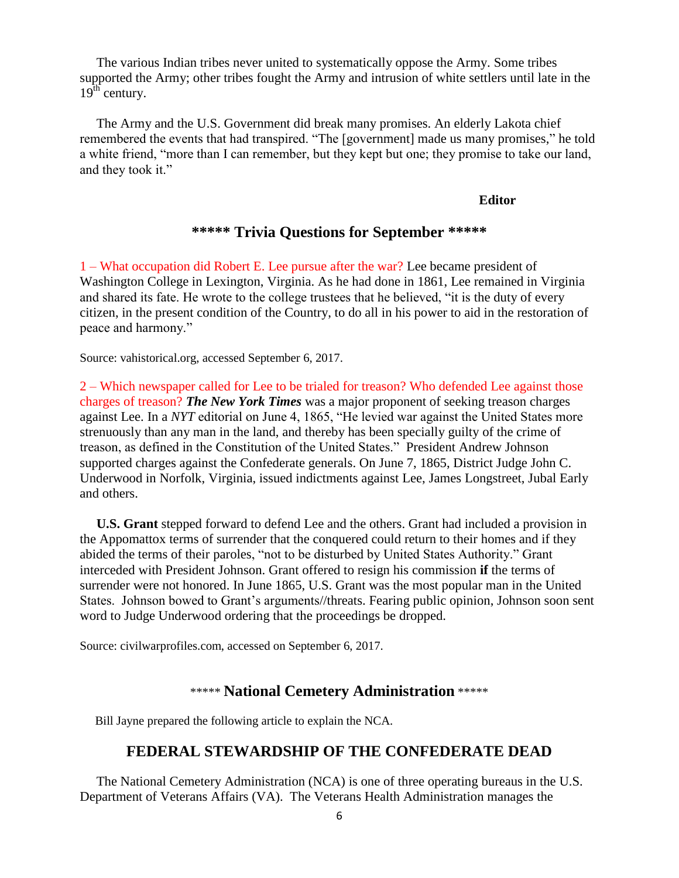The various Indian tribes never united to systematically oppose the Army. Some tribes supported the Army; other tribes fought the Army and intrusion of white settlers until late in the  $19<sup>th</sup>$  century.

 The Army and the U.S. Government did break many promises. An elderly Lakota chief remembered the events that had transpired. "The [government] made us many promises," he told a white friend, "more than I can remember, but they kept but one; they promise to take our land, and they took it."

#### **Editor**

### **\*\*\*\*\* Trivia Questions for September \*\*\*\*\***

1 – What occupation did Robert E. Lee pursue after the war? Lee became president of Washington College in Lexington, Virginia. As he had done in 1861, Lee remained in Virginia and shared its fate. He wrote to the college trustees that he believed, "it is the duty of every citizen, in the present condition of the Country, to do all in his power to aid in the restoration of peace and harmony."

Source: vahistorical.org, accessed September 6, 2017.

2 – Which newspaper called for Lee to be trialed for treason? Who defended Lee against those charges of treason? *The New York Times* was a major proponent of seeking treason charges against Lee. In a *NYT* editorial on June 4, 1865, "He levied war against the United States more strenuously than any man in the land, and thereby has been specially guilty of the crime of treason, as defined in the Constitution of the United States." President Andrew Johnson supported charges against the Confederate generals. On June 7, 1865, District Judge John C. Underwood in Norfolk, Virginia, issued indictments against Lee, James Longstreet, Jubal Early and others.

 **U.S. Grant** stepped forward to defend Lee and the others. Grant had included a provision in the Appomattox terms of surrender that the conquered could return to their homes and if they abided the terms of their paroles, "not to be disturbed by United States Authority." Grant interceded with President Johnson. Grant offered to resign his commission **if** the terms of surrender were not honored. In June 1865, U.S. Grant was the most popular man in the United States. Johnson bowed to Grant's arguments//threats. Fearing public opinion, Johnson soon sent word to Judge Underwood ordering that the proceedings be dropped.

Source: civilwarprofiles.com, accessed on September 6, 2017.

#### \*\*\*\*\* **National Cemetery Administration** \*\*\*\*\*

Bill Jayne prepared the following article to explain the NCA.

#### **FEDERAL STEWARDSHIP OF THE CONFEDERATE DEAD**

 The National Cemetery Administration (NCA) is one of three operating bureaus in the U.S. Department of Veterans Affairs (VA). The Veterans Health Administration manages the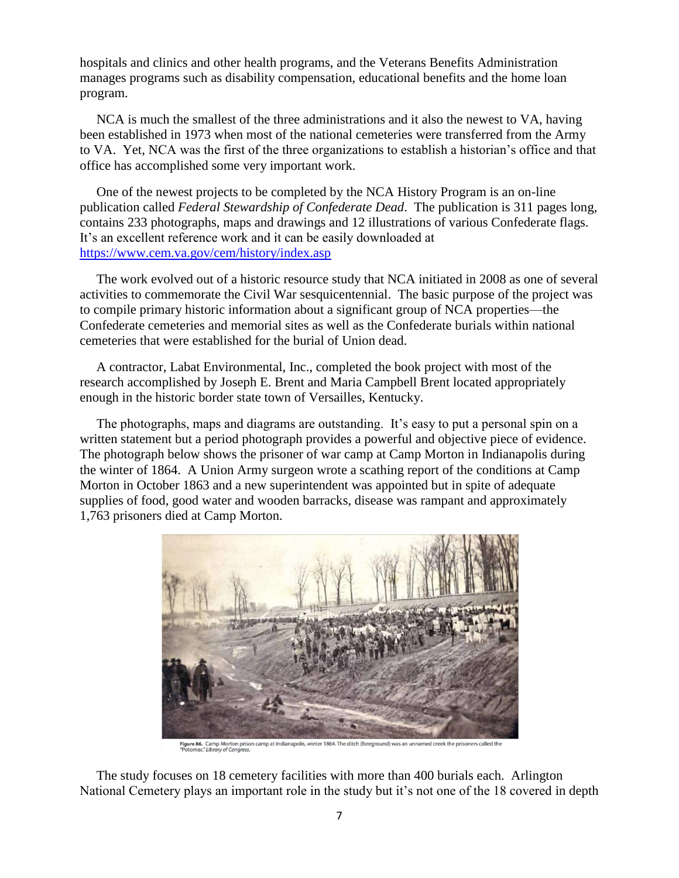hospitals and clinics and other health programs, and the Veterans Benefits Administration manages programs such as disability compensation, educational benefits and the home loan program.

 NCA is much the smallest of the three administrations and it also the newest to VA, having been established in 1973 when most of the national cemeteries were transferred from the Army to VA. Yet, NCA was the first of the three organizations to establish a historian's office and that office has accomplished some very important work.

 One of the newest projects to be completed by the NCA History Program is an on-line publication called *Federal Stewardship of Confederate Dead*. The publication is 311 pages long, contains 233 photographs, maps and drawings and 12 illustrations of various Confederate flags. It's an excellent reference work and it can be easily downloaded at <https://www.cem.va.gov/cem/history/index.asp>

 The work evolved out of a historic resource study that NCA initiated in 2008 as one of several activities to commemorate the Civil War sesquicentennial. The basic purpose of the project was to compile primary historic information about a significant group of NCA properties—the Confederate cemeteries and memorial sites as well as the Confederate burials within national cemeteries that were established for the burial of Union dead.

 A contractor, Labat Environmental, Inc., completed the book project with most of the research accomplished by Joseph E. Brent and Maria Campbell Brent located appropriately enough in the historic border state town of Versailles, Kentucky.

 The photographs, maps and diagrams are outstanding. It's easy to put a personal spin on a written statement but a period photograph provides a powerful and objective piece of evidence. The photograph below shows the prisoner of war camp at Camp Morton in Indianapolis during the winter of 1864. A Union Army surgeon wrote a scathing report of the conditions at Camp Morton in October 1863 and a new superintendent was appointed but in spite of adequate supplies of food, good water and wooden barracks, disease was rampant and approximately 1,763 prisoners died at Camp Morton.



Figure 86. Camp Morton prison camp at Indianapolis, winter 1864. The ditch (foreground) was an unnamed creek the prisoners called the<br>"Potomac." Library of Congress.

 The study focuses on 18 cemetery facilities with more than 400 burials each. Arlington National Cemetery plays an important role in the study but it's not one of the 18 covered in depth